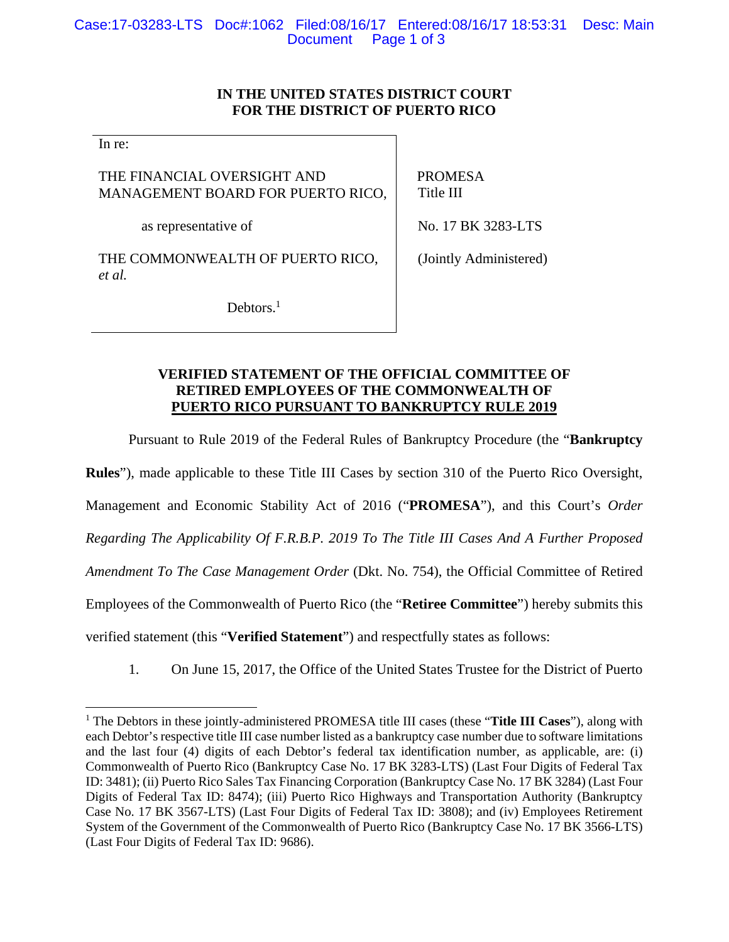# **IN THE UNITED STATES DISTRICT COURT FOR THE DISTRICT OF PUERTO RICO**

In re:

THE FINANCIAL OVERSIGHT AND MANAGEMENT BOARD FOR PUERTO RICO,

as representative of

THE COMMONWEALTH OF PUERTO RICO, *et al.*

 PROMESA Title III

No. 17 BK 3283-LTS

(Jointly Administered)

Debtors.<sup>1</sup>

# **VERIFIED STATEMENT OF THE OFFICIAL COMMITTEE OF RETIRED EMPLOYEES OF THE COMMONWEALTH OF PUERTO RICO PURSUANT TO BANKRUPTCY RULE 2019**

Pursuant to Rule 2019 of the Federal Rules of Bankruptcy Procedure (the "**Bankruptcy Rules**"), made applicable to these Title III Cases by section 310 of the Puerto Rico Oversight, Management and Economic Stability Act of 2016 ("**PROMESA**"), and this Court's *Order Regarding The Applicability Of F.R.B.P. 2019 To The Title III Cases And A Further Proposed Amendment To The Case Management Order* (Dkt. No. 754), the Official Committee of Retired Employees of the Commonwealth of Puerto Rico (the "**Retiree Committee**") hereby submits this verified statement (this "**Verified Statement**") and respectfully states as follows:

1. On June 15, 2017, the Office of the United States Trustee for the District of Puerto

<sup>&</sup>lt;sup>1</sup> The Debtors in these jointly-administered PROMESA title III cases (these "Title III Cases"), along with each Debtor's respective title III case number listed as a bankruptcy case number due to software limitations and the last four (4) digits of each Debtor's federal tax identification number, as applicable, are: (i) Commonwealth of Puerto Rico (Bankruptcy Case No. 17 BK 3283-LTS) (Last Four Digits of Federal Tax ID: 3481); (ii) Puerto Rico Sales Tax Financing Corporation (Bankruptcy Case No. 17 BK 3284) (Last Four Digits of Federal Tax ID: 8474); (iii) Puerto Rico Highways and Transportation Authority (Bankruptcy Case No. 17 BK 3567-LTS) (Last Four Digits of Federal Tax ID: 3808); and (iv) Employees Retirement System of the Government of the Commonwealth of Puerto Rico (Bankruptcy Case No. 17 BK 3566-LTS) (Last Four Digits of Federal Tax ID: 9686).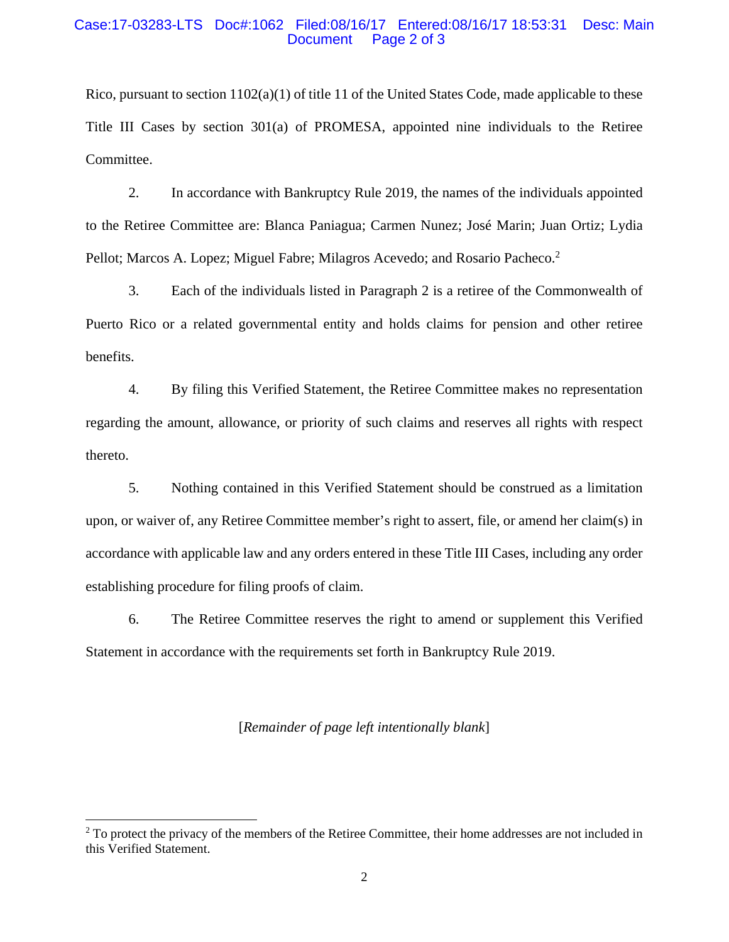#### Case:17-03283-LTS Doc#:1062 Filed:08/16/17 Entered:08/16/17 18:53:31 Desc: Main Page 2 of 3

Rico, pursuant to section  $1102(a)(1)$  of title 11 of the United States Code, made applicable to these Title III Cases by section 301(a) of PROMESA, appointed nine individuals to the Retiree Committee.

2. In accordance with Bankruptcy Rule 2019, the names of the individuals appointed to the Retiree Committee are: Blanca Paniagua; Carmen Nunez; José Marin; Juan Ortiz; Lydia Pellot; Marcos A. Lopez; Miguel Fabre; Milagros Acevedo; and Rosario Pacheco.<sup>2</sup>

3. Each of the individuals listed in Paragraph 2 is a retiree of the Commonwealth of Puerto Rico or a related governmental entity and holds claims for pension and other retiree benefits.

4. By filing this Verified Statement, the Retiree Committee makes no representation regarding the amount, allowance, or priority of such claims and reserves all rights with respect thereto.

5. Nothing contained in this Verified Statement should be construed as a limitation upon, or waiver of, any Retiree Committee member's right to assert, file, or amend her claim(s) in accordance with applicable law and any orders entered in these Title III Cases, including any order establishing procedure for filing proofs of claim.

6. The Retiree Committee reserves the right to amend or supplement this Verified Statement in accordance with the requirements set forth in Bankruptcy Rule 2019.

## [*Remainder of page left intentionally blank*]

 $2^2$  To protect the privacy of the members of the Retiree Committee, their home addresses are not included in this Verified Statement.